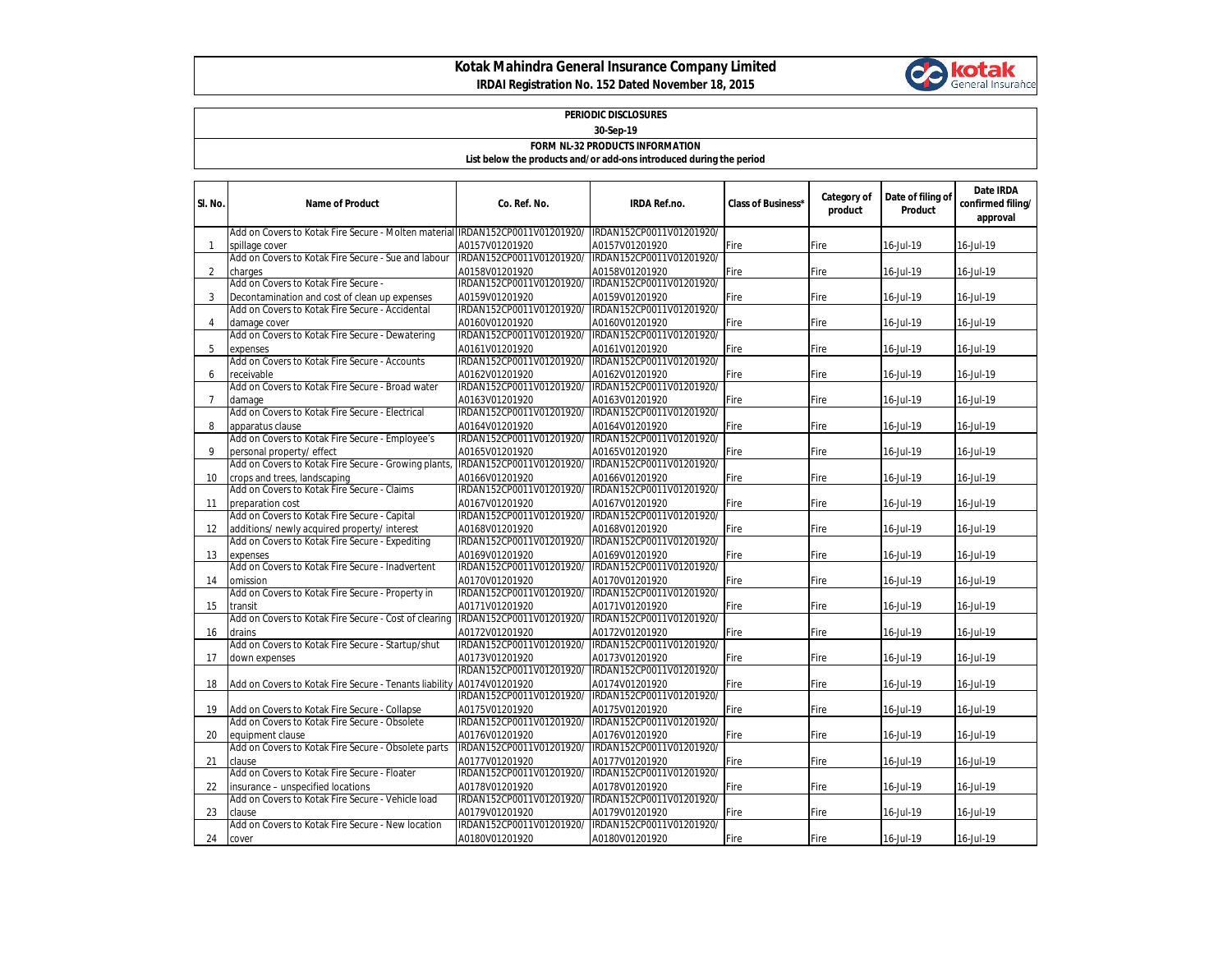## **Kotak Mahindra General Insurance Company Limited IRDAI Registration No. 152 Dated November 18, 2015**



## **PERIODIC DISCLOSURES 30-Sep-19**

## **FORM NL-32 PRODUCTS INFORMATION**

**List below the products and/or add-ons introduced during the period**

| SI. No.        | <b>Name of Product</b>                                                                         | Co. Ref. No.                               | <b>IRDA Ref.no.</b>                        | <b>Class of Business*</b> | Category of<br>product | Date of filing of<br>Product | Date IRDA<br>confirmed filing/<br>approval |
|----------------|------------------------------------------------------------------------------------------------|--------------------------------------------|--------------------------------------------|---------------------------|------------------------|------------------------------|--------------------------------------------|
|                | Add on Covers to Kotak Fire Secure - Molten material IRDAN152CP0011V01201920/                  |                                            | IRDAN152CP0011V01201920/                   |                           |                        |                              |                                            |
| 1              | spillage cover                                                                                 | A0157V01201920                             | A0157V01201920                             | Fire                      | Fire                   | 16-Jul-19                    | 16-Jul-19                                  |
|                | Add on Covers to Kotak Fire Secure - Sue and labour                                            | IRDAN152CP0011V01201920/                   | IRDAN152CP0011V01201920/                   |                           |                        |                              |                                            |
| 2              | charges                                                                                        | A0158V01201920                             | A0158V01201920                             | Fire                      | Fire                   | 16-Jul-19                    | 16-Jul-19                                  |
|                | Add on Covers to Kotak Fire Secure -                                                           | IRDAN152CP0011V01201920/                   | IRDAN152CP0011V01201920/                   |                           |                        |                              |                                            |
| 3              | Decontamination and cost of clean up expenses                                                  | A0159V01201920                             | A0159V01201920                             | Fire                      | Fire                   | 16-Jul-19                    | 16-Jul-19                                  |
|                | Add on Covers to Kotak Fire Secure - Accidental                                                | IRDAN152CP0011V01201920/                   | IRDAN152CP0011V01201920/                   |                           |                        |                              |                                            |
| 4              | damage cover                                                                                   | A0160V01201920                             | A0160V01201920                             | Fire                      | Fire                   | 16-Jul-19                    | 16-Jul-19                                  |
|                | Add on Covers to Kotak Fire Secure - Dewatering                                                | IRDAN152CP0011V01201920/                   | IRDAN152CP0011V01201920/                   |                           |                        |                              |                                            |
| 5              | expenses                                                                                       | A0161V01201920                             | A0161V01201920                             | Fire                      | Fire                   | 16-Jul-19                    | 16-Jul-19                                  |
|                | Add on Covers to Kotak Fire Secure - Accounts                                                  | IRDAN152CP0011V01201920/                   | IRDAN152CP0011V01201920/                   |                           |                        |                              |                                            |
| 6              | receivable                                                                                     | A0162V01201920                             | A0162V01201920                             | Fire                      | Fire                   | 16-Jul-19                    | 16-Jul-19                                  |
|                | Add on Covers to Kotak Fire Secure - Broad water                                               | IRDAN152CP0011V01201920/                   | IRDAN152CP0011V01201920/                   |                           |                        |                              |                                            |
| $\overline{7}$ | damage                                                                                         | A0163V01201920                             | A0163V01201920                             | Fire                      | Fire                   | 16-Jul-19                    | 16-Jul-19                                  |
|                | Add on Covers to Kotak Fire Secure - Electrical                                                | IRDAN152CP0011V01201920/                   | IRDAN152CP0011V01201920/                   |                           |                        |                              |                                            |
| 8              | apparatus clause                                                                               | A0164V01201920                             | A0164V01201920                             | Fire                      | Fire                   | 16-Jul-19                    | 16-Jul-19                                  |
|                | Add on Covers to Kotak Fire Secure - Employee's                                                | IRDAN152CP0011V01201920/                   | IRDAN152CP0011V01201920/                   |                           |                        |                              |                                            |
| 9              | personal property/ effect                                                                      | A0165V01201920                             | A0165V01201920                             | Fire                      | Fire                   | 16-Jul-19                    | 16-Jul-19                                  |
|                | Add on Covers to Kotak Fire Secure - Growing plants,                                           | IRDAN152CP0011V01201920/                   | IRDAN152CP0011V01201920/                   |                           |                        |                              |                                            |
| 10             | crops and trees, landscaping                                                                   | A0166V01201920                             | A0166V01201920                             | Fire                      | Fire                   | 16-Jul-19                    | 16-Jul-19                                  |
|                | Add on Covers to Kotak Fire Secure - Claims                                                    | IRDAN152CP0011V01201920/                   | IRDAN152CP0011V01201920/                   |                           |                        |                              |                                            |
| 11             | preparation cost                                                                               | A0167V01201920                             | A0167V01201920                             | Fire                      | Fire                   | 16-Jul-19                    | 16-Jul-19                                  |
|                | Add on Covers to Kotak Fire Secure - Capital                                                   | IRDAN152CP0011V01201920/                   | IRDAN152CP0011V01201920/                   |                           |                        |                              |                                            |
| 12             | additions/ newly acquired property/ interest                                                   | A0168V01201920                             | A0168V01201920                             | Fire                      | Fire                   | 16-Jul-19                    | 16-Jul-19                                  |
|                | Add on Covers to Kotak Fire Secure - Expediting                                                | IRDAN152CP0011V01201920/                   | IRDAN152CP0011V01201920/                   |                           |                        |                              |                                            |
| 13             | expenses                                                                                       | A0169V01201920                             | A0169V01201920                             | Fire                      | Fire                   | 16-Jul-19                    | 16-Jul-19                                  |
|                | Add on Covers to Kotak Fire Secure - Inadvertent                                               | IRDAN152CP0011V01201920/                   | IRDAN152CP0011V01201920/                   |                           |                        |                              |                                            |
| 14             | omission                                                                                       | A0170V01201920                             | A0170V01201920                             | Fire                      | Fire                   | 16-Jul-19                    | 16-Jul-19                                  |
|                | Add on Covers to Kotak Fire Secure - Property in                                               | IRDAN152CP0011V01201920/                   | IRDAN152CP0011V01201920/                   |                           |                        |                              |                                            |
| 15             | transit                                                                                        | A0171V01201920                             | A0171V01201920                             | Fire                      | Fire                   | 16-Jul-19                    | 16-Jul-19                                  |
|                | Add on Covers to Kotak Fire Secure - Cost of clearing                                          | IRDAN152CP0011V01201920/                   | IRDAN152CP0011V01201920/                   |                           |                        |                              |                                            |
| 16             | drains                                                                                         | A0172V01201920                             | A0172V01201920                             | Fire                      | Fire                   | 16-Jul-19                    | 16-Jul-19                                  |
|                | Add on Covers to Kotak Fire Secure - Startup/shut                                              | IRDAN152CP0011V01201920/                   | IRDAN152CP0011V01201920/                   |                           |                        |                              |                                            |
| 17             | down expenses                                                                                  | A0173V01201920<br>IRDAN152CP0011V01201920/ | A0173V01201920<br>IRDAN152CP0011V01201920/ | Fire                      | Fire                   | 16-Jul-19                    | 16-Jul-19                                  |
|                |                                                                                                |                                            |                                            |                           |                        |                              |                                            |
| 18             | Add on Covers to Kotak Fire Secure - Tenants liability                                         | A0174V01201920<br>IRDAN152CP0011V01201920/ | A0174V01201920<br>IRDAN152CP0011V01201920/ | Fire                      | Fire                   | 16-Jul-19                    | 16-Jul-19                                  |
|                |                                                                                                |                                            |                                            |                           |                        |                              |                                            |
| 19             | Add on Covers to Kotak Fire Secure - Collapse<br>Add on Covers to Kotak Fire Secure - Obsolete | A0175V01201920<br>IRDAN152CP0011V01201920/ | A0175V01201920                             | Fire                      | Fire                   | 16-Jul-19                    | 16-Jul-19                                  |
|                |                                                                                                |                                            | IRDAN152CP0011V01201920/                   |                           |                        |                              |                                            |
| 20             | equipment clause                                                                               | A0176V01201920                             | A0176V01201920                             | Fire                      | Fire                   | 16-Jul-19                    | 16-Jul-19                                  |
|                | Add on Covers to Kotak Fire Secure - Obsolete parts                                            | IRDAN152CP0011V01201920/                   | IRDAN152CP0011V01201920/                   |                           |                        |                              |                                            |
| 21             | clause<br>Add on Covers to Kotak Fire Secure - Floater                                         | A0177V01201920<br>IRDAN152CP0011V01201920/ | A0177V01201920<br>IRDAN152CP0011V01201920/ | Fire                      | Fire                   | 16-Jul-19                    | 16-Jul-19                                  |
|                |                                                                                                |                                            |                                            |                           |                        |                              |                                            |
| 22             | insurance – unspecified locations<br>Add on Covers to Kotak Fire Secure - Vehicle load         | A0178V01201920<br>IRDAN152CP0011V01201920/ | A0178V01201920<br>IRDAN152CP0011V01201920/ | Fire                      | Fire                   | 16-Jul-19                    | 16-Jul-19                                  |
|                |                                                                                                | A0179V01201920                             | A0179V01201920                             | Fire                      |                        |                              | 16-Jul-19                                  |
| 23             | clause<br>Add on Covers to Kotak Fire Secure - New location                                    | IRDAN152CP0011V01201920/                   | IRDAN152CP0011V01201920/                   |                           | Fire                   | 16-Jul-19                    |                                            |
|                |                                                                                                |                                            |                                            |                           |                        |                              |                                            |
| 24             | cover                                                                                          | A0180V01201920                             | A0180V01201920                             | Fire                      | Fire                   | 16-Jul-19                    | 16-Jul-19                                  |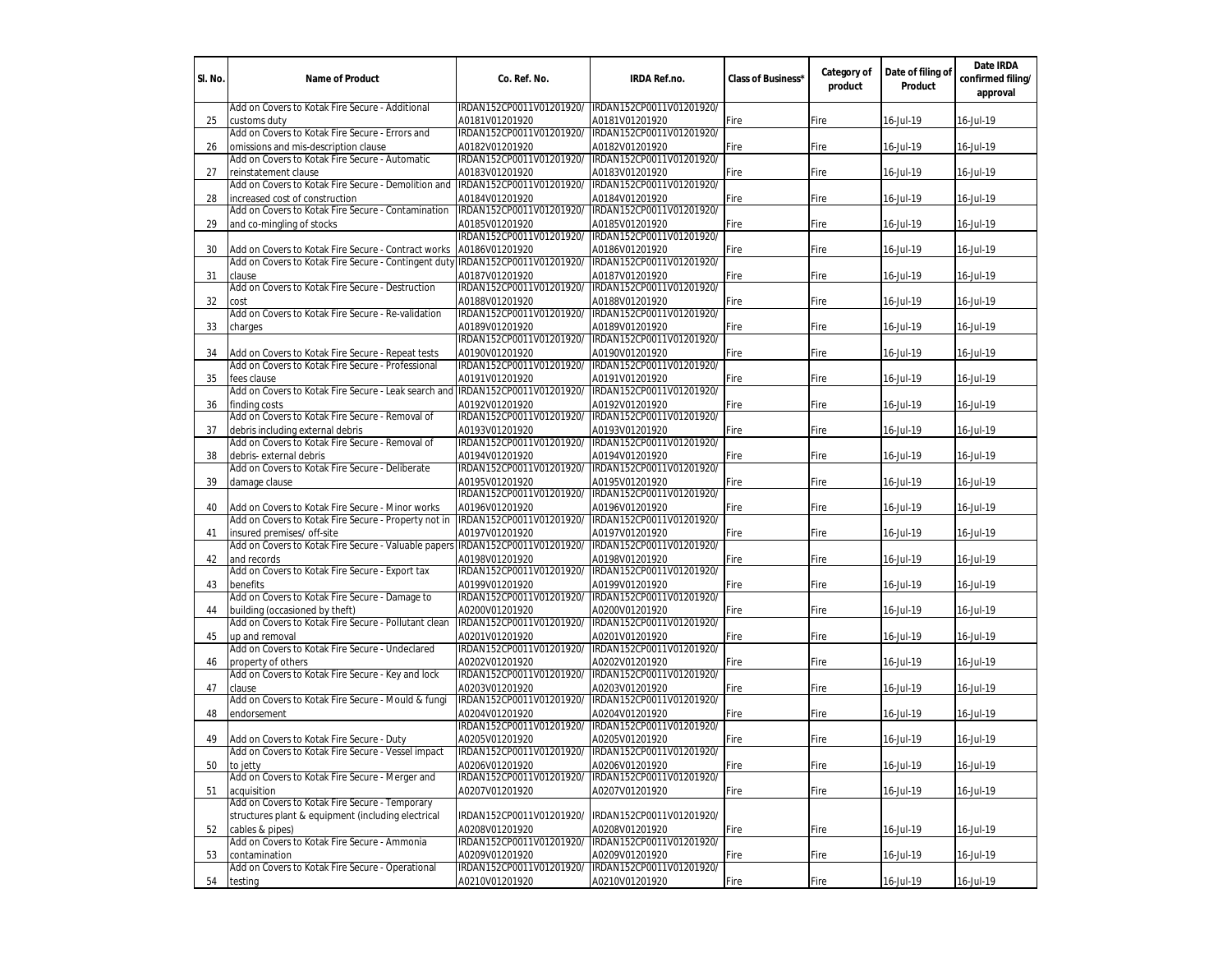| SI. No. | <b>Name of Product</b>                                                                                 | Co. Ref. No.                               | <b>IRDA Ref.no.</b>                               | <b>Class of Business'</b> | Category of<br>product | Date of filing of<br>Product | Date IRDA<br>confirmed filing/<br>approval |
|---------|--------------------------------------------------------------------------------------------------------|--------------------------------------------|---------------------------------------------------|---------------------------|------------------------|------------------------------|--------------------------------------------|
|         | Add on Covers to Kotak Fire Secure - Additional                                                        | IRDAN152CP0011V01201920/                   | IRDAN152CP0011V01201920/                          |                           |                        |                              |                                            |
| 25      | customs duty                                                                                           | A0181V01201920                             | A0181V01201920                                    | Fire                      | Fire                   | 16-Jul-19                    | 16-Jul-19                                  |
|         | Add on Covers to Kotak Fire Secure - Errors and                                                        | IRDAN152CP0011V01201920/                   | IRDAN152CP0011V01201920/                          |                           |                        |                              |                                            |
| 26      | omissions and mis-description clause<br>Add on Covers to Kotak Fire Secure - Automatic                 | A0182V01201920<br>IRDAN152CP0011V01201920/ | A0182V01201920<br>IRDAN152CP0011V01201920/        | Fire                      | Fire                   | 16-Jul-19                    | 16-Jul-19                                  |
| 27      | reinstatement clause                                                                                   | A0183V01201920                             | A0183V01201920                                    | Fire                      | Fire                   | 16-Jul-19                    | 16-Jul-19                                  |
|         | Add on Covers to Kotak Fire Secure - Demolition and                                                    | IRDAN152CP0011V01201920/                   | IRDAN152CP0011V01201920/                          |                           |                        |                              |                                            |
| 28      | increased cost of construction                                                                         | A0184V01201920                             | A0184V01201920                                    | Fire                      | Fire                   | 16-Jul-19                    | 16-Jul-19                                  |
|         | Add on Covers to Kotak Fire Secure - Contamination                                                     | IRDAN152CP0011V01201920/                   | IRDAN152CP0011V01201920/                          |                           |                        |                              |                                            |
| 29      | and co-mingling of stocks                                                                              | A0185V01201920                             | A0185V01201920                                    | ire                       | Fire                   | 16-Jul-19                    | 16-Jul-19                                  |
|         |                                                                                                        | IRDAN152CP0011V01201920/                   | IRDAN152CP0011V01201920/                          |                           |                        |                              |                                            |
| 30      | Add on Covers to Kotak Fire Secure - Contract works                                                    | A0186V01201920                             | A0186V01201920                                    | Fire                      | Fire                   | 16-Jul-19                    | 16-Jul-19                                  |
|         | Add on Covers to Kotak Fire Secure - Contingent duty IRDAN152CP0011V01201920/                          |                                            | IRDAN152CP0011V01201920/                          |                           |                        |                              |                                            |
| 31      | clause                                                                                                 | A0187V01201920                             | A0187V01201920                                    | Fire                      | Fire                   | 16-Jul-19                    | 16-Jul-19                                  |
|         | Add on Covers to Kotak Fire Secure - Destruction                                                       | IRDAN152CP0011V01201920/                   | IRDAN152CP0011V01201920/                          |                           |                        |                              |                                            |
| 32      | cost                                                                                                   | A0188V01201920                             | A0188V01201920                                    | Fire                      | Fire                   | 16-Jul-19                    | 16-Jul-19                                  |
|         | Add on Covers to Kotak Fire Secure - Re-validation                                                     | IRDAN152CP0011V01201920/                   | IRDAN152CP0011V01201920/                          |                           |                        |                              |                                            |
| 33      | charges                                                                                                | A0189V01201920                             | A0189V01201920                                    | Fire                      | Fire                   | 16-Jul-19                    | 16-Jul-19                                  |
|         |                                                                                                        | IRDAN152CP0011V01201920/                   | IRDAN152CP0011V01201920/                          |                           |                        |                              |                                            |
| 34      | Add on Covers to Kotak Fire Secure - Repeat tests<br>Add on Covers to Kotak Fire Secure - Professional | A0190V01201920<br>IRDAN152CP0011V01201920/ | A0190V01201920<br>IRDAN152CP0011V01201920/        | Fire                      | Fire                   | 16-Jul-19                    | 16-Jul-19                                  |
| 35      | fees clause                                                                                            | A0191V01201920                             | A0191V01201920                                    |                           | Fire                   | 16-Jul-19                    |                                            |
|         | Add on Covers to Kotak Fire Secure - Leak search and                                                   | IRDAN152CP0011V01201920/                   | IRDAN152CP0011V01201920/                          | Fire                      |                        |                              | 16-Jul-19                                  |
| 36      | finding costs                                                                                          | A0192V01201920                             | A0192V01201920                                    | Fire                      | Fire                   | 16-Jul-19                    | 16-Jul-19                                  |
|         | Add on Covers to Kotak Fire Secure - Removal of                                                        | IRDAN152CP0011V01201920/                   | IRDAN152CP0011V01201920/                          |                           |                        |                              |                                            |
| 37      | debris including external debris                                                                       | A0193V01201920                             | A0193V01201920                                    | Fire                      | Fire                   | 16-Jul-19                    | 16-Jul-19                                  |
|         | Add on Covers to Kotak Fire Secure - Removal of                                                        | IRDAN152CP0011V01201920/                   | IRDAN152CP0011V01201920/                          |                           |                        |                              |                                            |
| 38      | debris-external debris                                                                                 | A0194V01201920                             | A0194V01201920                                    | Fire                      | Fire                   | 16-Jul-19                    | 16-Jul-19                                  |
|         | Add on Covers to Kotak Fire Secure - Deliberate                                                        | IRDAN152CP0011V01201920/                   | IRDAN152CP0011V01201920/                          |                           |                        |                              |                                            |
| 39      | damage clause                                                                                          | A0195V01201920                             | A0195V01201920                                    | Fire                      | Fire                   | 16-Jul-19                    | 16-Jul-19                                  |
|         |                                                                                                        | IRDAN152CP0011V01201920/                   | IRDAN152CP0011V01201920/                          |                           |                        |                              |                                            |
| 40      | Add on Covers to Kotak Fire Secure - Minor works                                                       | A0196V01201920                             | A0196V01201920                                    | Fire                      | Fire                   | 16-Jul-19                    | 16-Jul-19                                  |
|         | Add on Covers to Kotak Fire Secure - Property not in                                                   | IRDAN152CP0011V01201920/                   | IRDAN152CP0011V01201920/                          |                           |                        |                              |                                            |
| 41      | insured premises/ off-site                                                                             | A0197V01201920                             | A0197V01201920                                    | Fire                      | Fire                   | 16-Jul-19                    | 16-Jul-19                                  |
|         | Add on Covers to Kotak Fire Secure - Valuable papers IRDAN152CP0011V01201920/                          |                                            | IRDAN152CP0011V01201920/                          |                           |                        |                              |                                            |
| 42      | and records                                                                                            | A0198V01201920                             | A0198V01201920                                    | Fire                      | Fire                   | 16-Jul-19                    | 16-Jul-19                                  |
|         | Add on Covers to Kotak Fire Secure - Export tax                                                        | IRDAN152CP0011V01201920/                   | IRDAN152CP0011V01201920/                          |                           |                        |                              |                                            |
| 43      | benefits                                                                                               | A0199V01201920                             | A0199V01201920                                    | Fire                      | Fire                   | 16-Jul-19                    | 16-Jul-19                                  |
|         | Add on Covers to Kotak Fire Secure - Damage to                                                         | IRDAN152CP0011V01201920/                   | IRDAN152CP0011V01201920/                          |                           |                        |                              |                                            |
| 44      | building (occasioned by theft)<br>Add on Covers to Kotak Fire Secure - Pollutant clean                 | A0200V01201920<br>IRDAN152CP0011V01201920/ | A0200V01201920<br>IRDAN152CP0011V01201920/        | Fire                      | Fire                   | 16-Jul-19                    | 16-Jul-19                                  |
|         |                                                                                                        |                                            |                                                   |                           |                        |                              |                                            |
| 45      | up and removal<br>Add on Covers to Kotak Fire Secure - Undeclared                                      | A0201V01201920<br>IRDAN152CP0011V01201920/ | A0201V01201920<br>IRDAN152CP0011V01201920/        | Fire                      | Fire                   | 16-Jul-19                    | 16-Jul-19                                  |
| 46      | property of others                                                                                     | A0202V01201920                             | A0202V01201920                                    | Fire                      | Fire                   | 16-Jul-19                    | 16-Jul-19                                  |
|         | Add on Covers to Kotak Fire Secure - Key and lock                                                      | IRDAN152CP0011V01201920/                   | IRDAN152CP0011V01201920/                          |                           |                        |                              |                                            |
| 47      | clause                                                                                                 | A0203V01201920                             | A0203V01201920                                    | Fire                      | Fire                   | 16-Jul-19                    | 16-Jul-19                                  |
|         | Add on Covers to Kotak Fire Secure - Mould & fungi                                                     | IRDAN152CP0011V01201920/                   | IRDAN152CP0011V01201920/                          |                           |                        |                              |                                            |
| 48      | endorsement                                                                                            | A0204V01201920                             | A0204V01201920                                    | Fire                      | Fire                   | 16-Jul-19                    | 16-Jul-19                                  |
|         |                                                                                                        | IRDAN152CP0011V01201920/                   | IRDAN152CP0011V01201920/                          |                           |                        |                              |                                            |
| 49      | Add on Covers to Kotak Fire Secure - Duty                                                              | A0205V01201920                             | A0205V01201920                                    | Fire                      | Fire                   | 16-Jul-19                    | 16-Jul-19                                  |
|         | Add on Covers to Kotak Fire Secure - Vessel impact                                                     |                                            | IRDAN152CP0011V01201920/ IRDAN152CP0011V01201920/ |                           |                        |                              |                                            |
| 50      | to jetty                                                                                               | A0206V01201920                             | A0206V01201920                                    | Fire                      | Fire                   | 16-Jul-19                    | 16-Jul-19                                  |
|         | Add on Covers to Kotak Fire Secure - Merger and                                                        | IRDAN152CP0011V01201920/                   | IRDAN152CP0011V01201920/                          |                           |                        |                              |                                            |
| 51      | acquisition                                                                                            | A0207V01201920                             | A0207V01201920                                    | Fire                      | Fire                   | 16-Jul-19                    | 16-Jul-19                                  |
|         | Add on Covers to Kotak Fire Secure - Temporary                                                         |                                            |                                                   |                           |                        |                              |                                            |
|         | structures plant & equipment (including electrical                                                     | IRDAN152CP0011V01201920/                   | IRDAN152CP0011V01201920/                          |                           |                        |                              |                                            |
| 52      | cables & pipes)                                                                                        | A0208V01201920                             | A0208V01201920                                    | Fire                      | Fire                   | 16-Jul-19                    | 16-Jul-19                                  |
|         | Add on Covers to Kotak Fire Secure - Ammonia                                                           | IRDAN152CP0011V01201920/                   | IRDAN152CP0011V01201920/                          |                           |                        |                              |                                            |
| 53      | contamination                                                                                          | A0209V01201920                             | A0209V01201920                                    | Fire                      | Fire                   | $16$ -Jul-19                 | 16-Jul-19                                  |
|         | Add on Covers to Kotak Fire Secure - Operational                                                       | IRDAN152CP0011V01201920/                   | IRDAN152CP0011V01201920/                          |                           |                        |                              |                                            |
| 54      | testing                                                                                                | A0210V01201920                             | A0210V01201920                                    | Fire                      | Fire                   | 16-Jul-19                    | 16-Jul-19                                  |